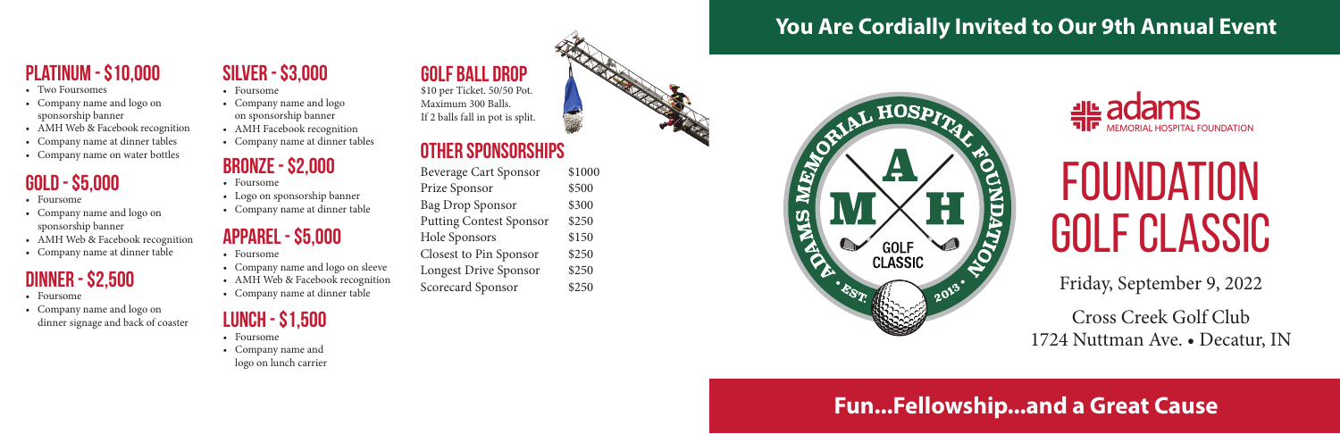## **GOLD - \$5,000**

- Foursome
- Company name and logo on sponsorship banner
- AMH Web & Facebook recognition
- Company name at dinner table

# **FOUNDATION** Golf Classic

Friday, September 9, 2022 Cross Creek Golf Club 1724 Nuttman Ave. • Decatur, IN

## **Platinum - \$10,000**

- Two Foursomes
- Company name and logo on sponsorship banner
- AMH Web & Facebook recognition
- Company name at dinner tables
- 

- Foursome
- Company name and logo on dinner signage and back of coaster **LUNCH - \$1,500**

| <b>Beverage Cart Sponsor</b>   | \$1000 |
|--------------------------------|--------|
| Prize Sponsor                  | \$500  |
| <b>Bag Drop Sponsor</b>        | \$300  |
| <b>Putting Contest Sponsor</b> | \$250  |
| Hole Sponsors                  | \$150  |
| Closest to Pin Sponsor         | \$250  |
| <b>Longest Drive Sponsor</b>   | \$250  |
| <b>Scorecard Sponsor</b>       | \$250  |
|                                |        |

## **Fun...Fellowship...and a Great Cause**



# **ELLE ACAMS**

## **You Are Cordially Invited to Our 9th Annual Event**



## **DINNER - \$2,500**

- Foursome
- Company name and logo on lunch carrier

## **Silver - \$3,000**

- Foursome
- Company name and logo on sponsorship banner
- AMH Facebook recognition
- Company name at dinner tables

## **BRONZE - \$2,000**

- Foursome
- Logo on sponsorship banner
- Company name at dinner table

### **Apparel - \$5,000**

- Foursome
- Company name and logo on sleeve
- AMH Web & Facebook recognition
- Company name at dinner table

## **Golf Ball Drop**

\$10 per Ticket. 50/50 Pot. Maximum 300 Balls. If 2 balls fall in pot is split.

## • Company name at dimer tables<br>• Company name on water bottles **DTHER SPONSORSHIPS**